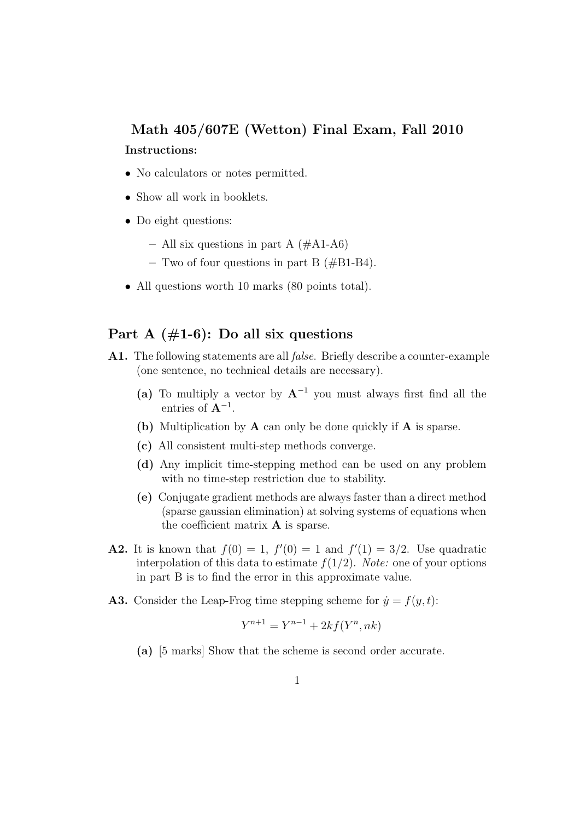## Math 405/607E (Wetton) Final Exam, Fall 2010 Instructions:

- No calculators or notes permitted.
- Show all work in booklets.
- Do eight questions:
	- All six questions in part A  $(\#A1-A6)$
	- Two of four questions in part B  $(\text{\#B1-B4}).$
- All questions worth 10 marks (80 points total).

## Part A  $(\#1-6)$ : Do all six questions

- A1. The following statements are all false. Briefly describe a counter-example (one sentence, no technical details are necessary).
	- (a) To multiply a vector by  $A^{-1}$  you must always first find all the entries of  $A^{-1}$ .
	- (b) Multiplication by A can only be done quickly if A is sparse.
	- (c) All consistent multi-step methods converge.
	- (d) Any implicit time-stepping method can be used on any problem with no time-step restriction due to stability.
	- (e) Conjugate gradient methods are always faster than a direct method (sparse gaussian elimination) at solving systems of equations when the coefficient matrix A is sparse.
- **A2.** It is known that  $f(0) = 1$ ,  $f'(0) = 1$  and  $f'(1) = 3/2$ . Use quadratic interpolation of this data to estimate  $f(1/2)$ . Note: one of your options in part B is to find the error in this approximate value.
- A3. Consider the Leap-Frog time stepping scheme for  $\dot{y} = f(y, t)$ :

$$
Y^{n+1} = Y^{n-1} + 2kf(Y^n, nk)
$$

(a) [5 marks] Show that the scheme is second order accurate.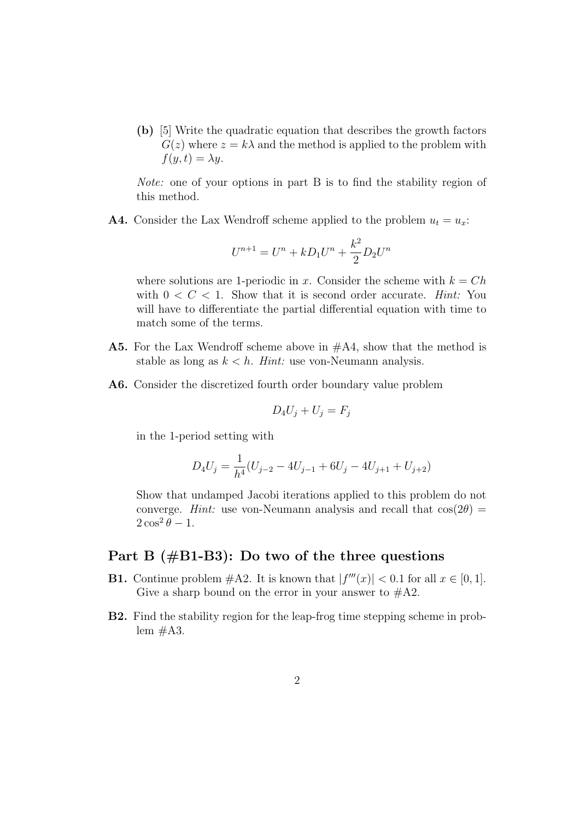(b) [5] Write the quadratic equation that describes the growth factors  $G(z)$  where  $z = k\lambda$  and the method is applied to the problem with  $f(y, t) = \lambda y$ .

Note: one of your options in part B is to find the stability region of this method.

**A4.** Consider the Lax Wendroff scheme applied to the problem  $u_t = u_x$ .

$$
U^{n+1} = U^n + kD_1U^n + \frac{k^2}{2}D_2U^n
$$

where solutions are 1-periodic in x. Consider the scheme with  $k = Ch$ with  $0 < C < 1$ . Show that it is second order accurate. Hint: You will have to differentiate the partial differential equation with time to match some of the terms.

- A5. For the Lax Wendroff scheme above in #A4, show that the method is stable as long as  $k < h$ . Hint: use von-Neumann analysis.
- A6. Consider the discretized fourth order boundary value problem

$$
D_4U_j + U_j = F_j
$$

in the 1-period setting with

$$
D_4U_j = \frac{1}{h^4}(U_{j-2} - 4U_{j-1} + 6U_j - 4U_{j+1} + U_{j+2})
$$

Show that undamped Jacobi iterations applied to this problem do not converge. Hint: use von-Neumann analysis and recall that  $cos(2\theta)$  $2\cos^2\theta-1$ .

## Part B (#B1-B3): Do two of the three questions

- **B1.** Continue problem  $#A2$ . It is known that  $|f'''(x)| < 0.1$  for all  $x \in [0,1]$ . Give a sharp bound on the error in your answer to  $#A2$ .
- B2. Find the stability region for the leap-frog time stepping scheme in problem  $\#A3$ .